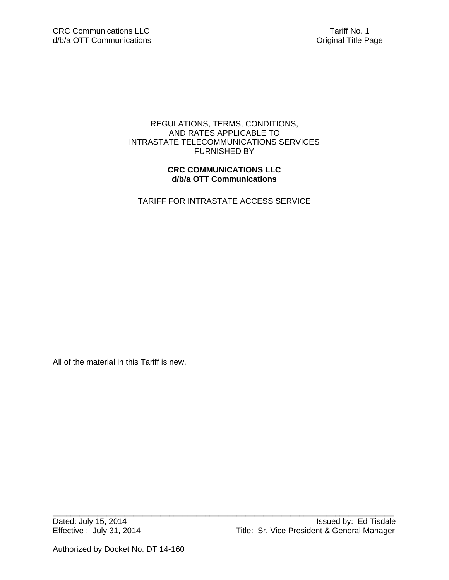# REGULATIONS, TERMS, CONDITIONS, AND RATES APPLICABLE TO INTRASTATE TELECOMMUNICATIONS SERVICES FURNISHED BY

# **CRC COMMUNICATIONS LLC d/b/a OTT Communications**

TARIFF FOR INTRASTATE ACCESS SERVICE

All of the material in this Tariff is new.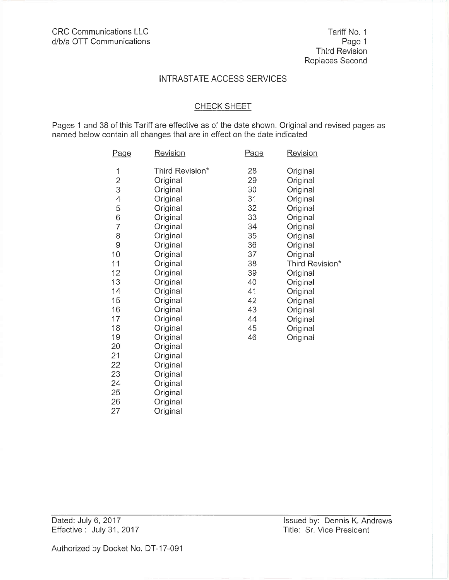#### **CHECK SHEET**

Pages 1 and 38 of this Tariff are effective as of the date shown. Original and revised pages as named below contain all changes that are in effect on the date indicated

| <u>Page</u>              | <b>Revision</b> | Page | <b>Revision</b> |
|--------------------------|-----------------|------|-----------------|
| 1                        | Third Revision* | 28   | Original        |
|                          | Original        | 29   | Original        |
| $\frac{2}{3}$            | Original        | 30   | Original        |
| $\overline{\mathcal{A}}$ | Original        | 31   | Original        |
| 5                        | Original        | 32   | Original        |
| 6                        | Original        | 33   | Original        |
| $\overline{7}$           | Original        | 34   | Original        |
| 8                        | Original        | 35   | Original        |
| 9                        | Original        | 36   | Original        |
| 10                       | Original        | 37   | Original        |
| 11                       | Original        | 38   | Third Revision* |
| 12                       | Original        | 39   | Original        |
| 13                       | Original        | 40   | Original        |
| 14                       | Original        | 41   | Original        |
| 15                       | Original        | 42   | Original        |
| 16                       | Original        | 43   | Original        |
| 17                       | Original        | 44   | Original        |
| 18                       | Original        | 45   | Original        |
| 19                       | Original        | 46   | Original        |
| 20                       | Original        |      |                 |
| 21                       | Original        |      |                 |
| 22                       | Original        |      |                 |
| 23                       | Original        |      |                 |
| 24                       | Original        |      |                 |
| 25                       | Original        |      |                 |
| 26                       | Original        |      |                 |
| 27                       | Original        |      |                 |

Dated: July 6, 2017 Effective: July 31, 2017 Issued by: Dennis K. Andrews Title: Sr. Vice President

Authorized by Docket No. DT-17-091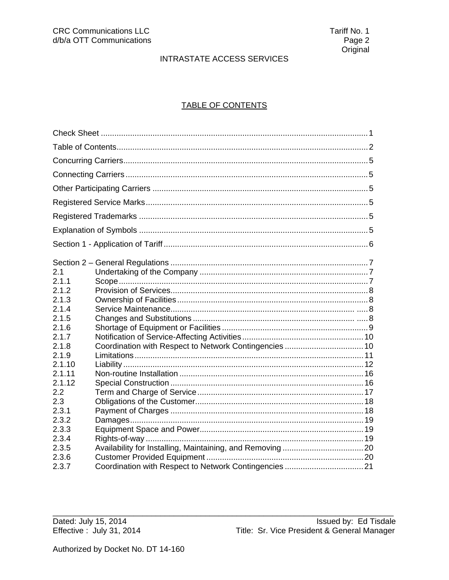# **TABLE OF CONTENTS**

| 2.1    |  |
|--------|--|
| 2.1.1  |  |
| 2.1.2  |  |
| 2.1.3  |  |
| 2.1.4  |  |
| 2.1.5  |  |
| 2.1.6  |  |
| 2.1.7  |  |
| 2.1.8  |  |
| 2.1.9  |  |
| 2.1.10 |  |
| 2.1.11 |  |
| 2.1.12 |  |
| 2.2    |  |
| 2.3    |  |
| 2.3.1  |  |
| 2.3.2  |  |
| 2.3.3  |  |
| 2.3.4  |  |
| 2.3.5  |  |
| 2.3.6  |  |
| 2.3.7  |  |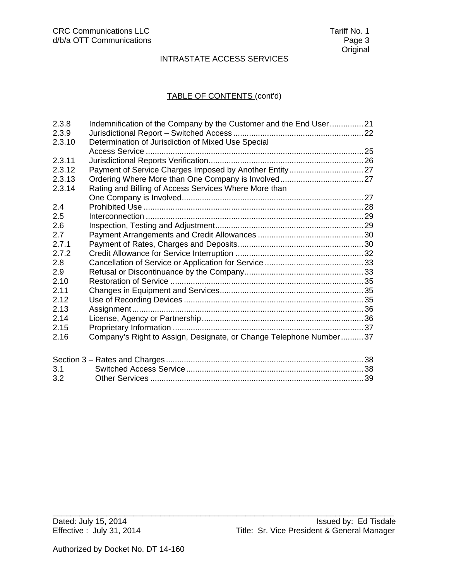# TABLE OF CONTENTS (cont'd)

| Indemnification of the Company by the Customer and the End User21  |                                                       |
|--------------------------------------------------------------------|-------------------------------------------------------|
|                                                                    |                                                       |
| Determination of Jurisdiction of Mixed Use Special                 |                                                       |
|                                                                    |                                                       |
|                                                                    |                                                       |
|                                                                    |                                                       |
|                                                                    |                                                       |
|                                                                    |                                                       |
|                                                                    |                                                       |
|                                                                    |                                                       |
|                                                                    |                                                       |
|                                                                    |                                                       |
|                                                                    |                                                       |
|                                                                    |                                                       |
|                                                                    |                                                       |
|                                                                    |                                                       |
|                                                                    |                                                       |
|                                                                    |                                                       |
|                                                                    |                                                       |
|                                                                    |                                                       |
|                                                                    |                                                       |
|                                                                    |                                                       |
|                                                                    |                                                       |
| Company's Right to Assign, Designate, or Change Telephone Number37 |                                                       |
|                                                                    |                                                       |
|                                                                    |                                                       |
|                                                                    |                                                       |
|                                                                    |                                                       |
|                                                                    | Rating and Billing of Access Services Where More than |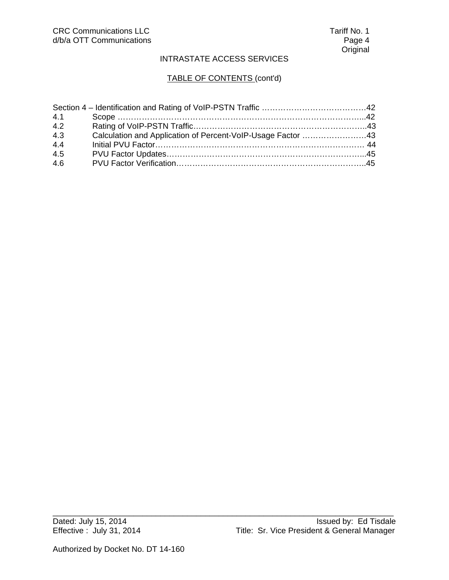# TABLE OF CONTENTS (cont'd)

| 4.1 |                                                             |  |
|-----|-------------------------------------------------------------|--|
| 4.2 |                                                             |  |
| 4.3 | Calculation and Application of Percent-VoIP-Usage Factor 43 |  |
| 4.4 |                                                             |  |
| 4.5 |                                                             |  |
| 4.6 |                                                             |  |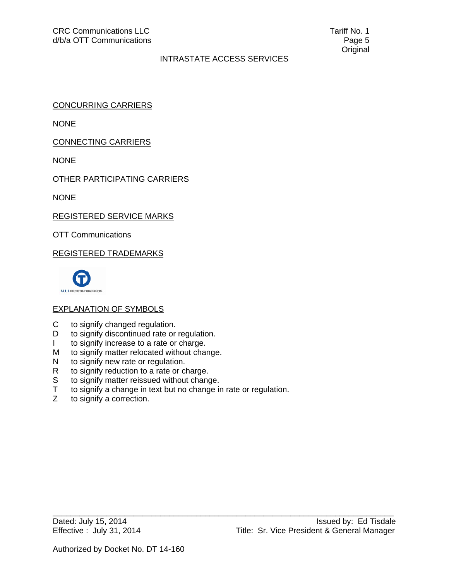CONCURRING CARRIERS

NONE

CONNECTING CARRIERS

NONE

OTHER PARTICIPATING CARRIERS

NONE

REGISTERED SERVICE MARKS

OTT Communications

REGISTERED TRADEMARKS



# EXPLANATION OF SYMBOLS

- C to signify changed regulation.
- D to signify discontinued rate or regulation.
- I to signify increase to a rate or charge.
- M to signify matter relocated without change.
- N to signify new rate or regulation.
- R to signify reduction to a rate or charge.
- S to signify matter reissued without change.
- T to signify a change in text but no change in rate or regulation.<br>Z to signify a correction.

\_\_\_\_\_\_\_\_\_\_\_\_\_\_\_\_\_\_\_\_\_\_\_\_\_\_\_\_\_\_\_\_\_\_\_\_\_\_\_\_\_\_\_\_\_\_\_\_\_\_\_\_\_\_\_\_\_\_\_\_\_\_\_\_\_\_\_\_\_\_\_\_\_\_\_\_

to signify a correction.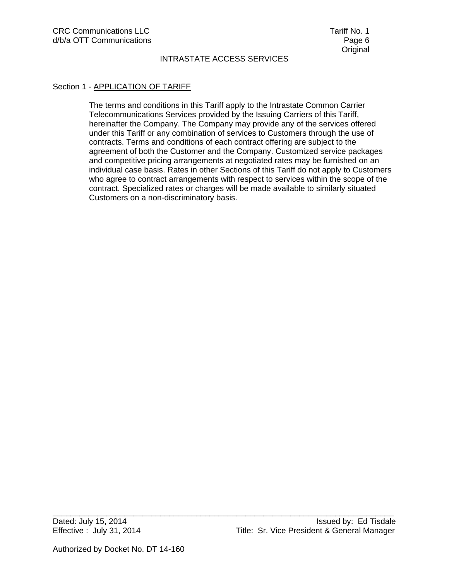### Section 1 - APPLICATION OF TARIFF

The terms and conditions in this Tariff apply to the Intrastate Common Carrier Telecommunications Services provided by the Issuing Carriers of this Tariff, hereinafter the Company. The Company may provide any of the services offered under this Tariff or any combination of services to Customers through the use of contracts. Terms and conditions of each contract offering are subject to the agreement of both the Customer and the Company. Customized service packages and competitive pricing arrangements at negotiated rates may be furnished on an individual case basis. Rates in other Sections of this Tariff do not apply to Customers who agree to contract arrangements with respect to services within the scope of the contract. Specialized rates or charges will be made available to similarly situated Customers on a non-discriminatory basis.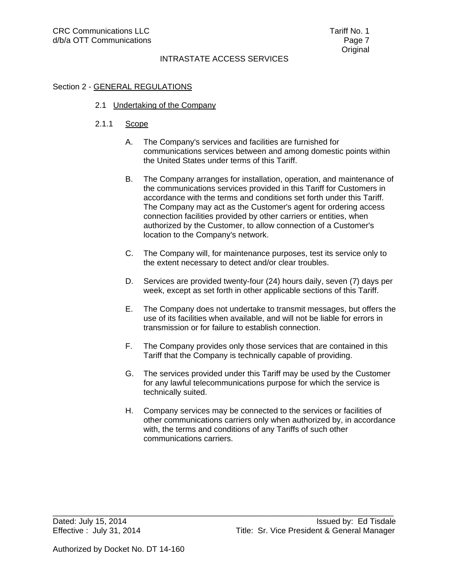## Section 2 - GENERAL REGULATIONS

2.1 Undertaking of the Company

### 2.1.1 Scope

- A. The Company's services and facilities are furnished for communications services between and among domestic points within the United States under terms of this Tariff.
- B. The Company arranges for installation, operation, and maintenance of the communications services provided in this Tariff for Customers in accordance with the terms and conditions set forth under this Tariff. The Company may act as the Customer's agent for ordering access connection facilities provided by other carriers or entities, when authorized by the Customer, to allow connection of a Customer's location to the Company's network.
- C. The Company will, for maintenance purposes, test its service only to the extent necessary to detect and/or clear troubles.
- D. Services are provided twenty-four (24) hours daily, seven (7) days per week, except as set forth in other applicable sections of this Tariff.
- E. The Company does not undertake to transmit messages, but offers the use of its facilities when available, and will not be liable for errors in transmission or for failure to establish connection.
- F. The Company provides only those services that are contained in this Tariff that the Company is technically capable of providing.
- G. The services provided under this Tariff may be used by the Customer for any lawful telecommunications purpose for which the service is technically suited.
- H. Company services may be connected to the services or facilities of other communications carriers only when authorized by, in accordance with, the terms and conditions of any Tariffs of such other communications carriers.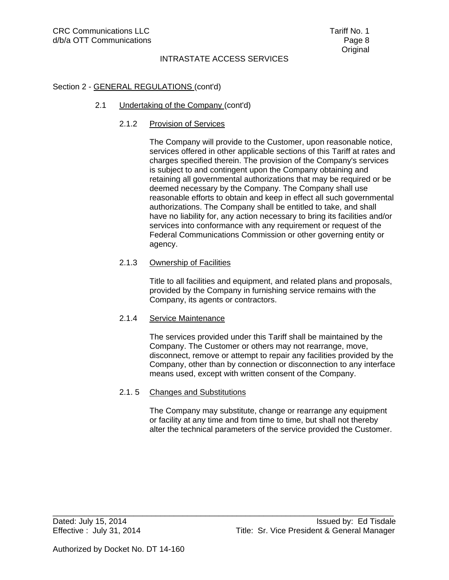### Section 2 - GENERAL REGULATIONS (cont'd)

### 2.1 Undertaking of the Company (cont'd)

### 2.1.2 Provision of Services

 The Company will provide to the Customer, upon reasonable notice, services offered in other applicable sections of this Tariff at rates and charges specified therein. The provision of the Company's services is subject to and contingent upon the Company obtaining and retaining all governmental authorizations that may be required or be deemed necessary by the Company. The Company shall use reasonable efforts to obtain and keep in effect all such governmental authorizations. The Company shall be entitled to take, and shall have no liability for, any action necessary to bring its facilities and/or services into conformance with any requirement or request of the Federal Communications Commission or other governing entity or agency.

#### 2.1.3 Ownership of Facilities

 Title to all facilities and equipment, and related plans and proposals, provided by the Company in furnishing service remains with the Company, its agents or contractors.

#### 2.1.4 Service Maintenance

 The services provided under this Tariff shall be maintained by the Company. The Customer or others may not rearrange, move, disconnect, remove or attempt to repair any facilities provided by the Company, other than by connection or disconnection to any interface means used, except with written consent of the Company.

#### 2.1. 5 Changes and Substitutions

 The Company may substitute, change or rearrange any equipment or facility at any time and from time to time, but shall not thereby alter the technical parameters of the service provided the Customer.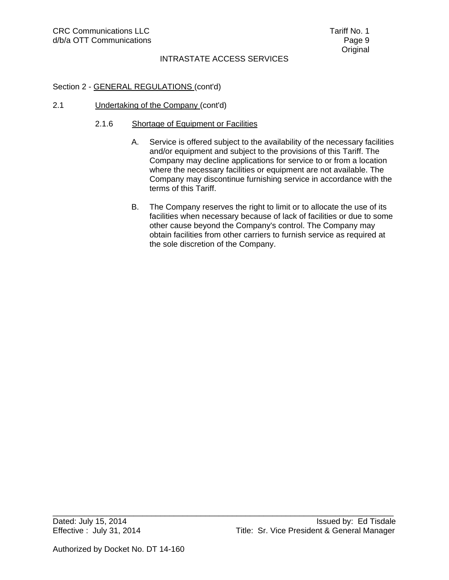\_\_\_\_\_\_\_\_\_\_\_\_\_\_\_\_\_\_\_\_\_\_\_\_\_\_\_\_\_\_\_\_\_\_\_\_\_\_\_\_\_\_\_\_\_\_\_\_\_\_\_\_\_\_\_\_\_\_\_\_\_\_\_\_\_\_\_\_\_\_\_\_\_\_\_\_

# Section 2 - GENERAL REGULATIONS (cont'd)

2.1 Undertaking of the Company (cont'd)

### 2.1.6 Shortage of Equipment or Facilities

- A. Service is offered subject to the availability of the necessary facilities and/or equipment and subject to the provisions of this Tariff. The Company may decline applications for service to or from a location where the necessary facilities or equipment are not available. The Company may discontinue furnishing service in accordance with the terms of this Tariff.
- B. The Company reserves the right to limit or to allocate the use of its facilities when necessary because of lack of facilities or due to some other cause beyond the Company's control. The Company may obtain facilities from other carriers to furnish service as required at the sole discretion of the Company.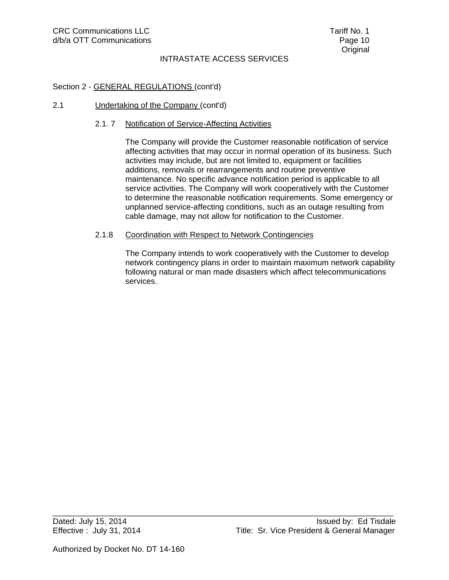### Section 2 - GENERAL REGULATIONS (cont'd)

#### 2.1 Undertaking of the Company (cont'd)

#### 2.1. 7 Notification of Service-Affecting Activities

The Company will provide the Customer reasonable notification of service affecting activities that may occur in normal operation of its business. Such activities may include, but are not limited to, equipment or facilities additions, removals or rearrangements and routine preventive maintenance. No specific advance notification period is applicable to all service activities. The Company will work cooperatively with the Customer to determine the reasonable notification requirements. Some emergency or unplanned service-affecting conditions, such as an outage resulting from cable damage, may not allow for notification to the Customer.

#### 2.1.8 Coordination with Respect to Network Contingencies

\_\_\_\_\_\_\_\_\_\_\_\_\_\_\_\_\_\_\_\_\_\_\_\_\_\_\_\_\_\_\_\_\_\_\_\_\_\_\_\_\_\_\_\_\_\_\_\_\_\_\_\_\_\_\_\_\_\_\_\_\_\_\_\_\_\_\_\_\_\_\_\_\_\_\_\_

The Company intends to work cooperatively with the Customer to develop network contingency plans in order to maintain maximum network capability following natural or man made disasters which affect telecommunications services.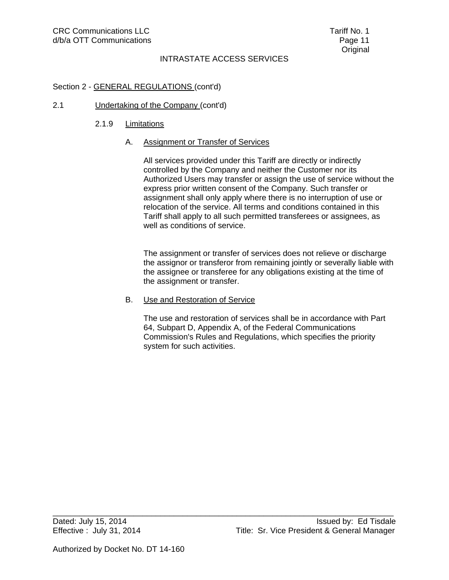## Section 2 - GENERAL REGULATIONS (cont'd)

### 2.1 Undertaking of the Company (cont'd)

### 2.1.9 Limitations

### A. Assignment or Transfer of Services

All services provided under this Tariff are directly or indirectly controlled by the Company and neither the Customer nor its Authorized Users may transfer or assign the use of service without the express prior written consent of the Company. Such transfer or assignment shall only apply where there is no interruption of use or relocation of the service. All terms and conditions contained in this Tariff shall apply to all such permitted transferees or assignees, as well as conditions of service.

The assignment or transfer of services does not relieve or discharge the assignor or transferor from remaining jointly or severally liable with the assignee or transferee for any obligations existing at the time of the assignment or transfer.

#### B. Use and Restoration of Service

\_\_\_\_\_\_\_\_\_\_\_\_\_\_\_\_\_\_\_\_\_\_\_\_\_\_\_\_\_\_\_\_\_\_\_\_\_\_\_\_\_\_\_\_\_\_\_\_\_\_\_\_\_\_\_\_\_\_\_\_\_\_\_\_\_\_\_\_\_\_\_\_\_\_\_\_

The use and restoration of services shall be in accordance with Part 64, Subpart D, Appendix A, of the Federal Communications Commission's Rules and Regulations, which specifies the priority system for such activities.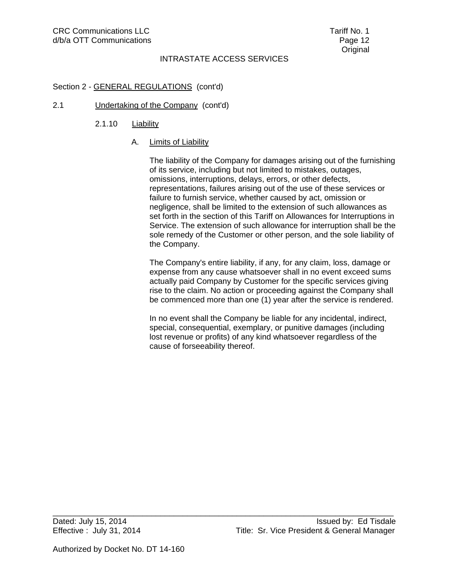## Section 2 - GENERAL REGULATIONS (cont'd)

### 2.1 Undertaking of the Company (cont'd)

2.1.10 Liability

### A. Limits of Liability

The liability of the Company for damages arising out of the furnishing of its service, including but not limited to mistakes, outages, omissions, interruptions, delays, errors, or other defects, representations, failures arising out of the use of these services or failure to furnish service, whether caused by act, omission or negligence, shall be limited to the extension of such allowances as set forth in the section of this Tariff on Allowances for Interruptions in Service. The extension of such allowance for interruption shall be the sole remedy of the Customer or other person, and the sole liability of the Company.

The Company's entire liability, if any, for any claim, loss, damage or expense from any cause whatsoever shall in no event exceed sums actually paid Company by Customer for the specific services giving rise to the claim. No action or proceeding against the Company shall be commenced more than one (1) year after the service is rendered.

In no event shall the Company be liable for any incidental, indirect, special, consequential, exemplary, or punitive damages (including lost revenue or profits) of any kind whatsoever regardless of the cause of forseeability thereof.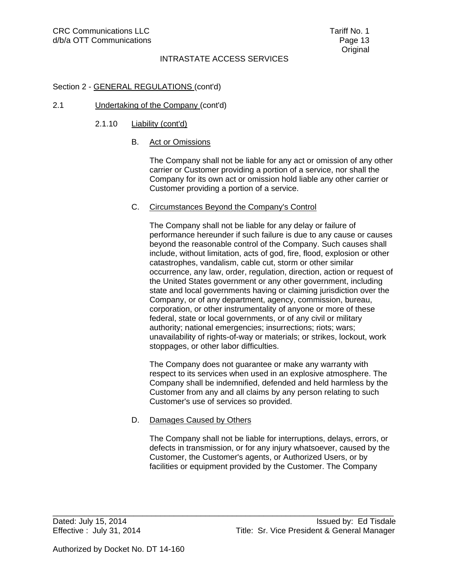### Section 2 - GENERAL REGULATIONS (cont'd)

#### 2.1 Undertaking of the Company (cont'd)

### 2.1.10 **Liability (cont'd)**

### B. Act or Omissions

The Company shall not be liable for any act or omission of any other carrier or Customer providing a portion of a service, nor shall the Company for its own act or omission hold liable any other carrier or Customer providing a portion of a service.

#### C. Circumstances Beyond the Company's Control

The Company shall not be liable for any delay or failure of performance hereunder if such failure is due to any cause or causes beyond the reasonable control of the Company. Such causes shall include, without limitation, acts of god, fire, flood, explosion or other catastrophes, vandalism, cable cut, storm or other similar occurrence, any law, order, regulation, direction, action or request of the United States government or any other government, including state and local governments having or claiming jurisdiction over the Company, or of any department, agency, commission, bureau, corporation, or other instrumentality of anyone or more of these federal, state or local governments, or of any civil or military authority; national emergencies; insurrections; riots; wars; unavailability of rights-of-way or materials; or strikes, lockout, work stoppages, or other labor difficulties.

The Company does not guarantee or make any warranty with respect to its services when used in an explosive atmosphere. The Company shall be indemnified, defended and held harmless by the Customer from any and all claims by any person relating to such Customer's use of services so provided.

#### D. Damages Caused by Others

The Company shall not be liable for interruptions, delays, errors, or defects in transmission, or for any injury whatsoever, caused by the Customer, the Customer's agents, or Authorized Users, or by facilities or equipment provided by the Customer. The Company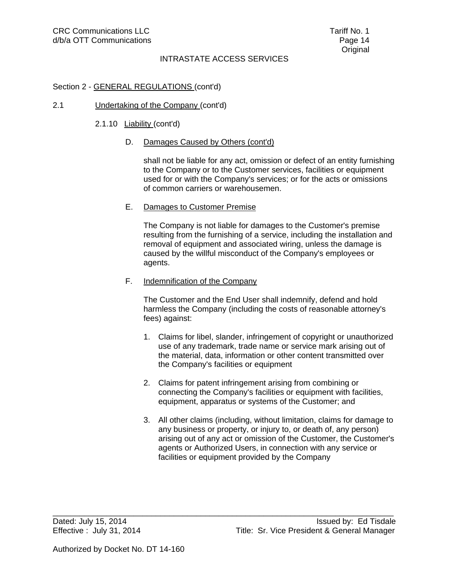#### Section 2 - GENERAL REGULATIONS (cont'd)

#### 2.1 Undertaking of the Company (cont'd)

#### 2.1.10 Liability (cont'd)

#### D. Damages Caused by Others (cont'd)

shall not be liable for any act, omission or defect of an entity furnishing to the Company or to the Customer services, facilities or equipment used for or with the Company's services; or for the acts or omissions of common carriers or warehousemen.

#### E. Damages to Customer Premise

 The Company is not liable for damages to the Customer's premise resulting from the furnishing of a service, including the installation and removal of equipment and associated wiring, unless the damage is caused by the willful misconduct of the Company's employees or agents.

#### F. Indemnification of the Company

 The Customer and the End User shall indemnify, defend and hold harmless the Company (including the costs of reasonable attorney's fees) against:

- 1. Claims for libel, slander, infringement of copyright or unauthorized use of any trademark, trade name or service mark arising out of the material, data, information or other content transmitted over the Company's facilities or equipment
- 2. Claims for patent infringement arising from combining or connecting the Company's facilities or equipment with facilities, equipment, apparatus or systems of the Customer; and
- 3. All other claims (including, without limitation, claims for damage to any business or property, or injury to, or death of, any person) arising out of any act or omission of the Customer, the Customer's agents or Authorized Users, in connection with any service or facilities or equipment provided by the Company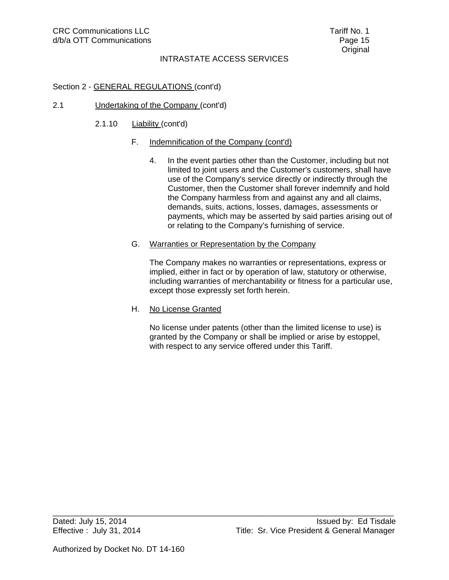# Section 2 - GENERAL REGULATIONS (cont'd)

### 2.1 Undertaking of the Company (cont'd)

2.1.10 **Liability (cont'd)** 

### F. Indemnification of the Company (cont'd)

- 4. In the event parties other than the Customer, including but not limited to joint users and the Customer's customers, shall have use of the Company's service directly or indirectly through the Customer, then the Customer shall forever indemnify and hold the Company harmless from and against any and all claims, demands, suits, actions, losses, damages, assessments or payments, which may be asserted by said parties arising out of or relating to the Company's furnishing of service.
- G. Warranties or Representation by the Company

\_\_\_\_\_\_\_\_\_\_\_\_\_\_\_\_\_\_\_\_\_\_\_\_\_\_\_\_\_\_\_\_\_\_\_\_\_\_\_\_\_\_\_\_\_\_\_\_\_\_\_\_\_\_\_\_\_\_\_\_\_\_\_\_\_\_\_\_\_\_\_\_\_\_\_\_

 The Company makes no warranties or representations, express or implied, either in fact or by operation of law, statutory or otherwise, including warranties of merchantability or fitness for a particular use, except those expressly set forth herein.

H. No License Granted

 No license under patents (other than the limited license to use) is granted by the Company or shall be implied or arise by estoppel, with respect to any service offered under this Tariff.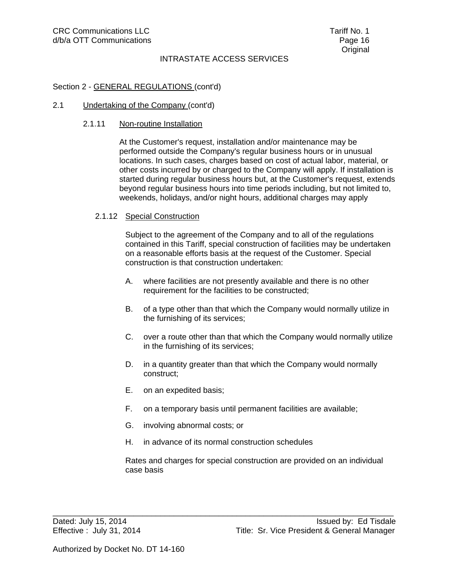### Section 2 - GENERAL REGULATIONS (cont'd)

#### 2.1 Undertaking of the Company (cont'd)

#### 2.1.11 Non-routine Installation

 At the Customer's request, installation and/or maintenance may be performed outside the Company's regular business hours or in unusual locations. In such cases, charges based on cost of actual labor, material, or other costs incurred by or charged to the Company will apply. If installation is started during regular business hours but, at the Customer's request, extends beyond regular business hours into time periods including, but not limited to, weekends, holidays, and/or night hours, additional charges may apply

#### 2.1.12 Special Construction

 Subject to the agreement of the Company and to all of the regulations contained in this Tariff, special construction of facilities may be undertaken on a reasonable efforts basis at the request of the Customer. Special construction is that construction undertaken:

- A. where facilities are not presently available and there is no other requirement for the facilities to be constructed;
- B. of a type other than that which the Company would normally utilize in the furnishing of its services;
- C. over a route other than that which the Company would normally utilize in the furnishing of its services;
- D. in a quantity greater than that which the Company would normally construct;
- E. on an expedited basis;
- F. on a temporary basis until permanent facilities are available;
- G. involving abnormal costs; or
- H. in advance of its normal construction schedules

\_\_\_\_\_\_\_\_\_\_\_\_\_\_\_\_\_\_\_\_\_\_\_\_\_\_\_\_\_\_\_\_\_\_\_\_\_\_\_\_\_\_\_\_\_\_\_\_\_\_\_\_\_\_\_\_\_\_\_\_\_\_\_\_\_\_\_\_\_\_\_\_\_\_\_\_

Rates and charges for special construction are provided on an individual case basis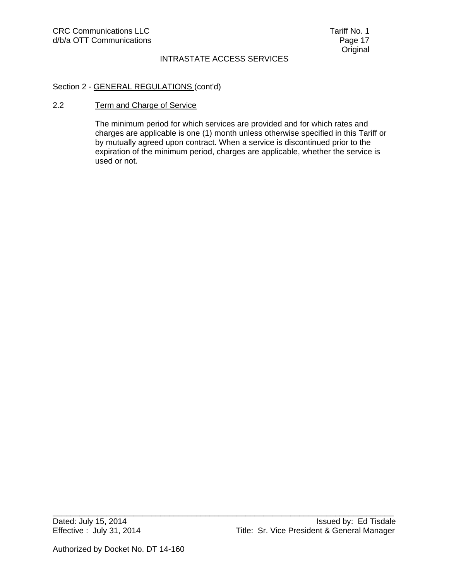# Section 2 - GENERAL REGULATIONS (cont'd)

#### 2.2 Term and Charge of Service

The minimum period for which services are provided and for which rates and charges are applicable is one (1) month unless otherwise specified in this Tariff or by mutually agreed upon contract. When a service is discontinued prior to the expiration of the minimum period, charges are applicable, whether the service is used or not.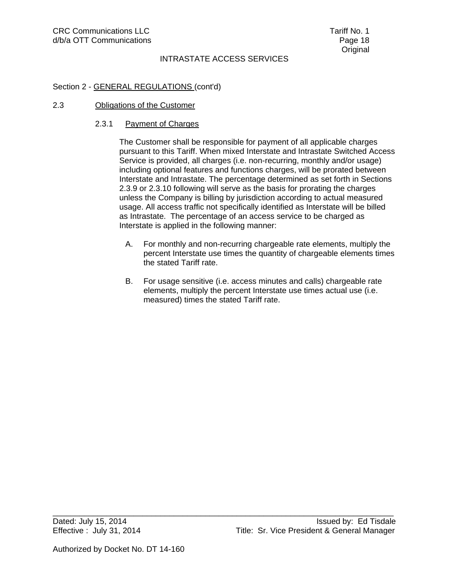### Section 2 - GENERAL REGULATIONS (cont'd)

#### 2.3 Obligations of the Customer

#### 2.3.1 Payment of Charges

 The Customer shall be responsible for payment of all applicable charges pursuant to this Tariff. When mixed Interstate and Intrastate Switched Access Service is provided, all charges (i.e. non-recurring, monthly and/or usage) including optional features and functions charges, will be prorated between Interstate and Intrastate. The percentage determined as set forth in Sections 2.3.9 or 2.3.10 following will serve as the basis for prorating the charges unless the Company is billing by jurisdiction according to actual measured usage. All access traffic not specifically identified as Interstate will be billed as Intrastate. The percentage of an access service to be charged as Interstate is applied in the following manner:

- A. For monthly and non-recurring chargeable rate elements, multiply the percent Interstate use times the quantity of chargeable elements times the stated Tariff rate.
- B. For usage sensitive (i.e. access minutes and calls) chargeable rate elements, multiply the percent Interstate use times actual use (i.e. measured) times the stated Tariff rate.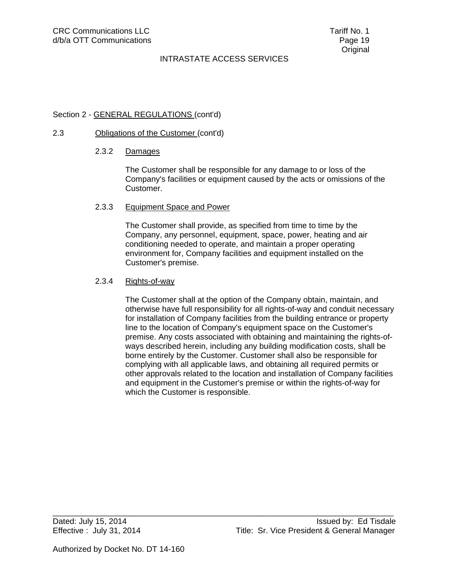### Section 2 - GENERAL REGULATIONS (cont'd)

#### 2.3 Obligations of the Customer (cont'd)

#### 2.3.2 Damages

 The Customer shall be responsible for any damage to or loss of the Company's facilities or equipment caused by the acts or omissions of the Customer.

#### 2.3.3 Equipment Space and Power

 The Customer shall provide, as specified from time to time by the Company, any personnel, equipment, space, power, heating and air conditioning needed to operate, and maintain a proper operating environment for, Company facilities and equipment installed on the Customer's premise.

#### 2.3.4 Riqhts-of-way

 The Customer shall at the option of the Company obtain, maintain, and otherwise have full responsibility for all rights-of-way and conduit necessary for installation of Company facilities from the building entrance or property line to the location of Company's equipment space on the Customer's premise. Any costs associated with obtaining and maintaining the rights-ofways described herein, including any building modification costs, shall be borne entirely by the Customer. Customer shall also be responsible for complying with all applicable laws, and obtaining all required permits or other approvals related to the location and installation of Company facilities and equipment in the Customer's premise or within the rights-of-way for which the Customer is responsible.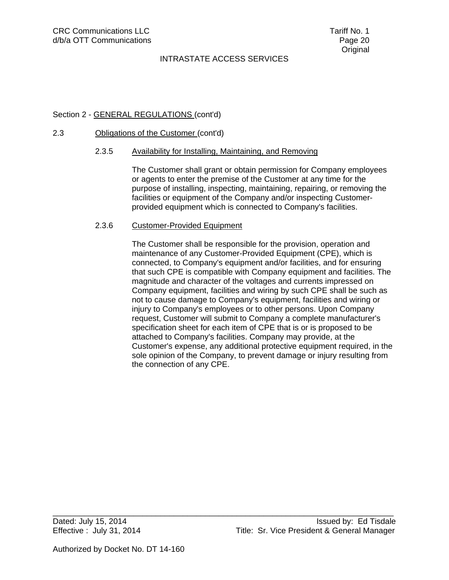### Section 2 - GENERAL REGULATIONS (cont'd)

#### 2.3 Obligations of the Customer (cont'd)

#### 2.3.5 Availability for Installing, Maintaining, and Removing

 The Customer shall grant or obtain permission for Company employees or agents to enter the premise of the Customer at any time for the purpose of installing, inspecting, maintaining, repairing, or removing the facilities or equipment of the Company and/or inspecting Customerprovided equipment which is connected to Company's facilities.

#### 2.3.6 Customer-Provided Equipment

 The Customer shall be responsible for the provision, operation and maintenance of any Customer-Provided Equipment (CPE), which is connected, to Company's equipment and/or facilities, and for ensuring that such CPE is compatible with Company equipment and facilities. The magnitude and character of the voltages and currents impressed on Company equipment, facilities and wiring by such CPE shall be such as not to cause damage to Company's equipment, facilities and wiring or injury to Company's employees or to other persons. Upon Company request, Customer will submit to Company a complete manufacturer's specification sheet for each item of CPE that is or is proposed to be attached to Company's facilities. Company may provide, at the Customer's expense, any additional protective equipment required, in the sole opinion of the Company, to prevent damage or injury resulting from the connection of any CPE.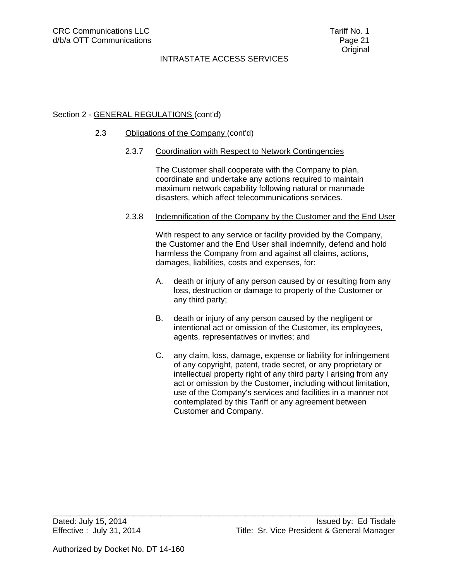### Section 2 - GENERAL REGULATIONS (cont'd)

#### 2.3 Obligations of the Company (cont'd)

#### 2.3.7 Coordination with Respect to Network Contingencies

The Customer shall cooperate with the Company to plan, coordinate and undertake any actions required to maintain maximum network capability following natural or manmade disasters, which affect telecommunications services.

#### 2.3.8 Indemnification of the Company by the Customer and the End User

With respect to any service or facility provided by the Company, the Customer and the End User shall indemnify, defend and hold harmless the Company from and against all claims, actions, damages, liabilities, costs and expenses, for:

- A. death or injury of any person caused by or resulting from any loss, destruction or damage to property of the Customer or any third party;
- B. death or injury of any person caused by the negligent or intentional act or omission of the Customer, its employees, agents, representatives or invites; and
- C. any claim, loss, damage, expense or liability for infringement of any copyright, patent, trade secret, or any proprietary or intellectual property right of any third party I arising from any act or omission by the Customer, including without limitation, use of the Company's services and facilities in a manner not contemplated by this Tariff or any agreement between Customer and Company.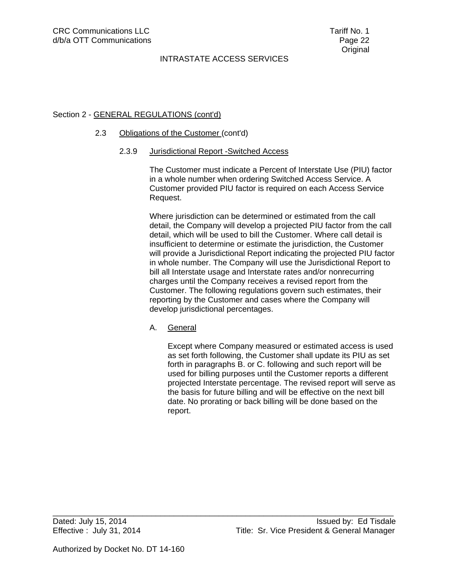## Section 2 - GENERAL REGULATIONS (cont'd)

#### 2.3 Obligations of the Customer (cont'd)

#### 2.3.9 Jurisdictional Report -Switched Access

The Customer must indicate a Percent of Interstate Use (PIU) factor in a whole number when ordering Switched Access Service. A Customer provided PIU factor is required on each Access Service Request.

Where jurisdiction can be determined or estimated from the call detail, the Company will develop a projected PIU factor from the call detail, which will be used to bill the Customer. Where call detail is insufficient to determine or estimate the jurisdiction, the Customer will provide a Jurisdictional Report indicating the projected PIU factor in whole number. The Company will use the Jurisdictional Report to bill all Interstate usage and Interstate rates and/or nonrecurring charges until the Company receives a revised report from the Customer. The following regulations govern such estimates, their reporting by the Customer and cases where the Company will develop jurisdictional percentages.

#### A. General

Except where Company measured or estimated access is used as set forth following, the Customer shall update its PIU as set forth in paragraphs B. or C. following and such report will be used for billing purposes until the Customer reports a different projected Interstate percentage. The revised report will serve as the basis for future billing and will be effective on the next bill date. No prorating or back billing will be done based on the report.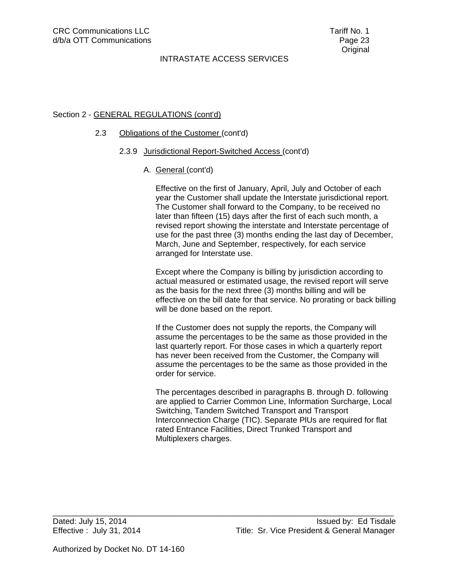## Section 2 - GENERAL REGULATIONS (cont'd)

#### 2.3 Obligations of the Customer (cont'd)

#### 2.3.9 Jurisdictional Report-Switched Access (cont'd)

A. General (cont'd)

 Effective on the first of January, April, July and October of each year the Customer shall update the Interstate jurisdictional report. The Customer shall forward to the Company, to be received no later than fifteen (15) days after the first of each such month, a revised report showing the interstate and Interstate percentage of use for the past three (3) months ending the last day of December, March, June and September, respectively, for each service arranged for Interstate use.

 Except where the Company is billing by jurisdiction according to actual measured or estimated usage, the revised report will serve as the basis for the next three (3) months billing and will be effective on the bill date for that service. No prorating or back billing will be done based on the report.

 If the Customer does not supply the reports, the Company will assume the percentages to be the same as those provided in the last quarterly report. For those cases in which a quarterly report has never been received from the Customer, the Company will assume the percentages to be the same as those provided in the order for service.

 The percentages described in paragraphs B. through D. following are applied to Carrier Common Line, Information Surcharge, Local Switching, Tandem Switched Transport and Transport Interconnection Charge (TIC). Separate PlUs are required for flat rated Entrance Facilities, Direct Trunked Transport and Multiplexers charges.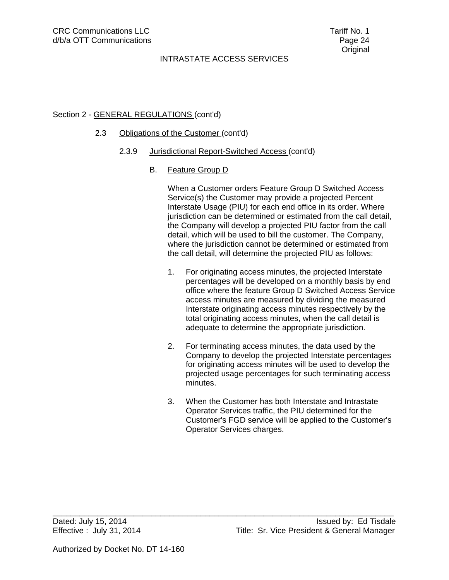## Section 2 - GENERAL REGULATIONS (cont'd)

### 2.3 Obligations of the Customer (cont'd)

2.3.9 Jurisdictional Report-Switched Access (cont'd)

### B. Feature Group D

 When a Customer orders Feature Group D Switched Access Service(s) the Customer may provide a projected Percent Interstate Usage (PIU) for each end office in its order. Where jurisdiction can be determined or estimated from the call detail, the Company will develop a projected PIU factor from the call detail, which will be used to bill the customer. The Company, where the jurisdiction cannot be determined or estimated from the call detail, will determine the projected PIU as follows:

- 1. For originating access minutes, the projected Interstate percentages will be developed on a monthly basis by end office where the feature Group D Switched Access Service access minutes are measured by dividing the measured Interstate originating access minutes respectively by the total originating access minutes, when the call detail is adequate to determine the appropriate jurisdiction.
- 2. For terminating access minutes, the data used by the Company to develop the projected Interstate percentages for originating access minutes will be used to develop the projected usage percentages for such terminating access minutes.
- 3. When the Customer has both Interstate and Intrastate Operator Services traffic, the PIU determined for the Customer's FGD service will be applied to the Customer's Operator Services charges.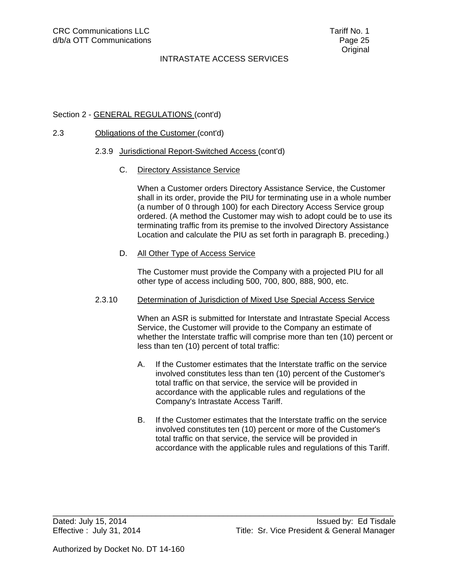### Section 2 - GENERAL REGULATIONS (cont'd)

### 2.3 Obligations of the Customer (cont'd)

#### 2.3.9 Jurisdictional Report-Switched Access (cont'd)

C. Directory Assistance Service

 When a Customer orders Directory Assistance Service, the Customer shall in its order, provide the PIU for terminating use in a whole number (a number of 0 through 100) for each Directory Access Service group ordered. (A method the Customer may wish to adopt could be to use its terminating traffic from its premise to the involved Directory Assistance Location and calculate the PIU as set forth in paragraph B. preceding.)

D. All Other Type of Access Service

 The Customer must provide the Company with a projected PIU for all other type of access including 500, 700, 800, 888, 900, etc.

#### 2.3.10 Determination of Jurisdiction of Mixed Use Special Access Service

 When an ASR is submitted for Interstate and Intrastate Special Access Service, the Customer will provide to the Company an estimate of whether the Interstate traffic will comprise more than ten (10) percent or less than ten (10) percent of total traffic:

- A. If the Customer estimates that the Interstate traffic on the service involved constitutes less than ten (10) percent of the Customer's total traffic on that service, the service will be provided in accordance with the applicable rules and regulations of the Company's Intrastate Access Tariff.
- B. If the Customer estimates that the Interstate traffic on the service involved constitutes ten (10) percent or more of the Customer's total traffic on that service, the service will be provided in accordance with the applicable rules and regulations of this Tariff.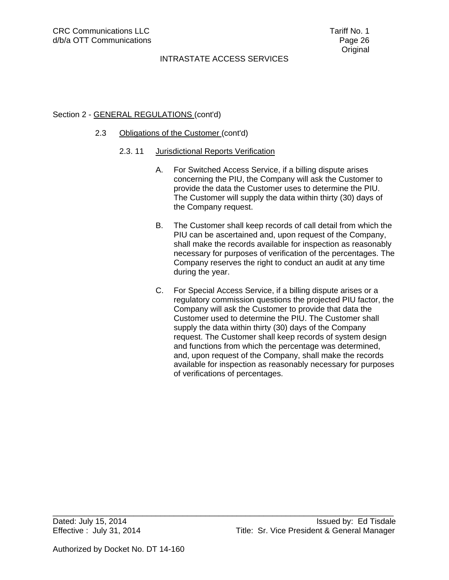### Section 2 - GENERAL REGULATIONS (cont'd)

#### 2.3 Obligations of the Customer (cont'd)

#### 2.3. 11 Jurisdictional Reports Verification

- A. For Switched Access Service, if a billing dispute arises concerning the PIU, the Company will ask the Customer to provide the data the Customer uses to determine the PIU. The Customer will supply the data within thirty (30) days of the Company request.
- B. The Customer shall keep records of call detail from which the PIU can be ascertained and, upon request of the Company, shall make the records available for inspection as reasonably necessary for purposes of verification of the percentages. The Company reserves the right to conduct an audit at any time during the year.
- C. For Special Access Service, if a billing dispute arises or a regulatory commission questions the projected PIU factor, the Company will ask the Customer to provide that data the Customer used to determine the PIU. The Customer shall supply the data within thirty (30) days of the Company request. The Customer shall keep records of system design and functions from which the percentage was determined, and, upon request of the Company, shall make the records available for inspection as reasonably necessary for purposes of verifications of percentages.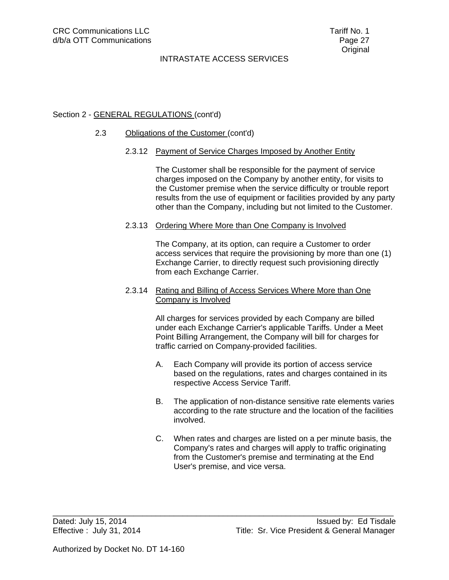### Section 2 - GENERAL REGULATIONS (cont'd)

#### 2.3 Obligations of the Customer (cont'd)

#### 2.3.12 Payment of Service Charges Imposed by Another Entity

 The Customer shall be responsible for the payment of service charges imposed on the Company by another entity, for visits to the Customer premise when the service difficulty or trouble report results from the use of equipment or facilities provided by any party other than the Company, including but not limited to the Customer.

#### 2.3.13 Ordering Where More than One Company is Involved

 The Company, at its option, can require a Customer to order access services that require the provisioning by more than one (1) Exchange Carrier, to directly request such provisioning directly from each Exchange Carrier.

### 2.3.14 Rating and Billing of Access Services Where More than One Company is Involved

 All charges for services provided by each Company are billed under each Exchange Carrier's applicable Tariffs. Under a Meet Point Billing Arrangement, the Company will bill for charges for traffic carried on Company-provided facilities.

- A. Each Company will provide its portion of access service based on the regulations, rates and charges contained in its respective Access Service Tariff.
- B. The application of non-distance sensitive rate elements varies according to the rate structure and the location of the facilities involved.
- C. When rates and charges are listed on a per minute basis, the Company's rates and charges will apply to traffic originating from the Customer's premise and terminating at the End User's premise, and vice versa.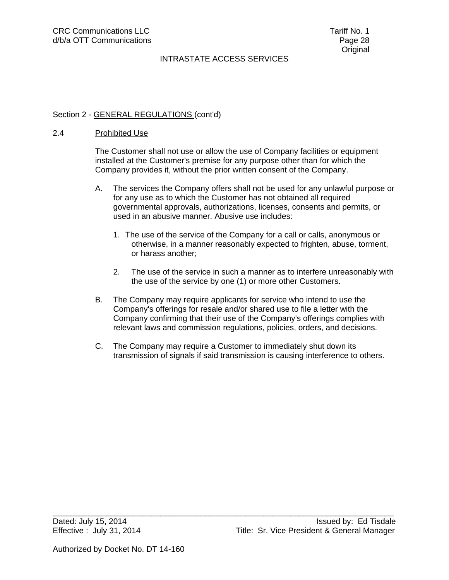### Section 2 - GENERAL REGULATIONS (cont'd)

#### 2.4 Prohibited Use

The Customer shall not use or allow the use of Company facilities or equipment installed at the Customer's premise for any purpose other than for which the Company provides it, without the prior written consent of the Company.

- A. The services the Company offers shall not be used for any unlawful purpose or for any use as to which the Customer has not obtained all required governmental approvals, authorizations, licenses, consents and permits, or used in an abusive manner. Abusive use includes:
	- 1. The use of the service of the Company for a call or calls, anonymous or otherwise, in a manner reasonably expected to frighten, abuse, torment, or harass another;
	- 2. The use of the service in such a manner as to interfere unreasonably with the use of the service by one (1) or more other Customers.
- B. The Company may require applicants for service who intend to use the Company's offerings for resale and/or shared use to file a letter with the Company confirming that their use of the Company's offerings complies with relevant laws and commission regulations, policies, orders, and decisions.
- C. The Company may require a Customer to immediately shut down its transmission of signals if said transmission is causing interference to others.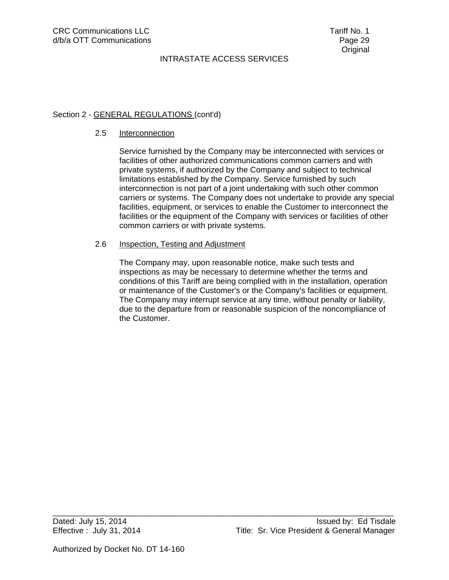## Section 2 - GENERAL REGULATIONS (cont'd)

#### 2.5 Interconnection

Service furnished by the Company may be interconnected with services or facilities of other authorized communications common carriers and with private systems, if authorized by the Company and subject to technical limitations established by the Company. Service furnished by such interconnection is not part of a joint undertaking with such other common carriers or systems. The Company does not undertake to provide any special facilities, equipment, or services to enable the Customer to interconnect the facilities or the equipment of the Company with services or facilities of other common carriers or with private systems.

#### 2.6 Inspection, Testing and Adjustment

The Company may, upon reasonable notice, make such tests and inspections as may be necessary to determine whether the terms and conditions of this Tariff are being complied with in the installation, operation or maintenance of the Customer's or the Company's facilities or equipment. The Company may interrupt service at any time, without penalty or liability, due to the departure from or reasonable suspicion of the noncompliance of the Customer.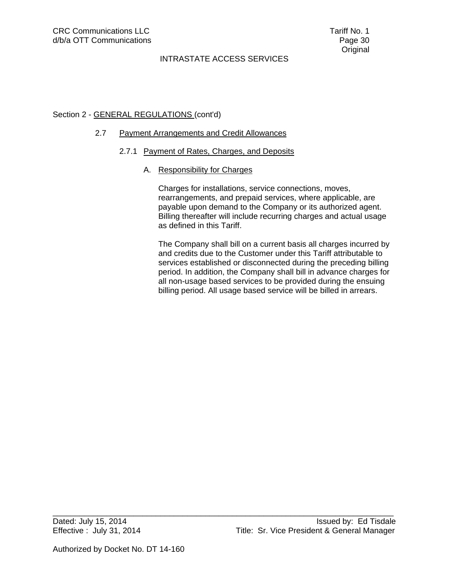## Section 2 - GENERAL REGULATIONS (cont'd)

### 2.7 Payment Arrangements and Credit Allowances

#### 2.7.1 Payment of Rates, Charges, and Deposits

\_\_\_\_\_\_\_\_\_\_\_\_\_\_\_\_\_\_\_\_\_\_\_\_\_\_\_\_\_\_\_\_\_\_\_\_\_\_\_\_\_\_\_\_\_\_\_\_\_\_\_\_\_\_\_\_\_\_\_\_\_\_\_\_\_\_\_\_\_\_\_\_\_\_\_\_

### A. Responsibility for Charges

Charges for installations, service connections, moves, rearrangements, and prepaid services, where applicable, are payable upon demand to the Company or its authorized agent. Billing thereafter will include recurring charges and actual usage as defined in this Tariff.

The Company shall bill on a current basis all charges incurred by and credits due to the Customer under this Tariff attributable to services established or disconnected during the preceding billing period. In addition, the Company shall bill in advance charges for all non-usage based services to be provided during the ensuing billing period. All usage based service will be billed in arrears.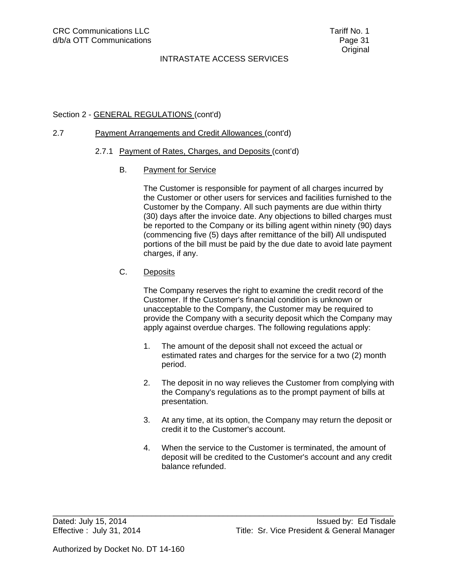### Section 2 - GENERAL REGULATIONS (cont'd)

### 2.7 Payment Arrangements and Credit Allowances (cont'd)

- 2.7.1 Payment of Rates, Charges, and Deposits (cont'd)
	- B. Payment for Service

 The Customer is responsible for payment of all charges incurred by the Customer or other users for services and facilities furnished to the Customer by the Company. All such payments are due within thirty (30) days after the invoice date. Any objections to billed charges must be reported to the Company or its billing agent within ninety (90) days (commencing five (5) days after remittance of the bill) All undisputed portions of the bill must be paid by the due date to avoid late payment charges, if any.

C. Deposits

 The Company reserves the right to examine the credit record of the Customer. If the Customer's financial condition is unknown or unacceptable to the Company, the Customer may be required to provide the Company with a security deposit which the Company may apply against overdue charges. The following regulations apply:

- 1. The amount of the deposit shall not exceed the actual or estimated rates and charges for the service for a two (2) month period.
- 2. The deposit in no way relieves the Customer from complying with the Company's regulations as to the prompt payment of bills at presentation.
- 3. At any time, at its option, the Company may return the deposit or credit it to the Customer's account.
- 4. When the service to the Customer is terminated, the amount of deposit will be credited to the Customer's account and any credit balance refunded.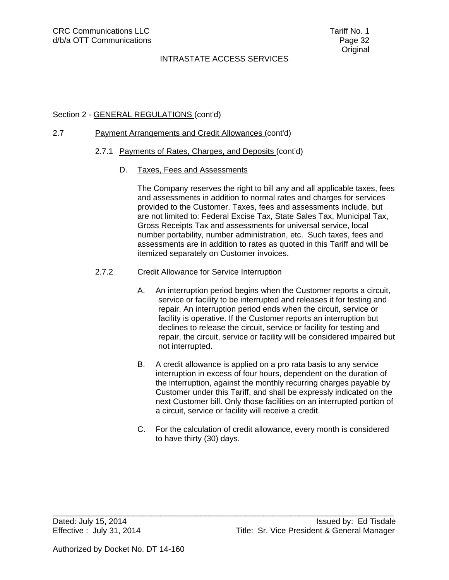### Section 2 - GENERAL REGULATIONS (cont'd)

### 2.7 Payment Arrangements and Credit Allowances (cont'd)

#### 2.7.1 Payments of Rates, Charges, and Deposits (cont'd)

D. Taxes, Fees and Assessments

The Company reserves the right to bill any and all applicable taxes, fees and assessments in addition to normal rates and charges for services provided to the Customer. Taxes, fees and assessments include, but are not limited to: Federal Excise Tax, State Sales Tax, Municipal Tax, Gross Receipts Tax and assessments for universal service, local number portability, number administration, etc. Such taxes, fees and assessments are in addition to rates as quoted in this Tariff and will be itemized separately on Customer invoices.

#### 2.7.2 Credit Allowance for Service Interruption

- A. An interruption period begins when the Customer reports a circuit, service or facility to be interrupted and releases it for testing and repair. An interruption period ends when the circuit, service or facility is operative. If the Customer reports an interruption but declines to release the circuit, service or facility for testing and repair, the circuit, service or facility will be considered impaired but not interrupted.
- B. A credit allowance is applied on a pro rata basis to any service interruption in excess of four hours, dependent on the duration of the interruption, against the monthly recurring charges payable by Customer under this Tariff, and shall be expressly indicated on the next Customer bill. Only those facilities on an interrupted portion of a circuit, service or facility will receive a credit.
- C. For the calculation of credit allowance, every month is considered to have thirty (30) days.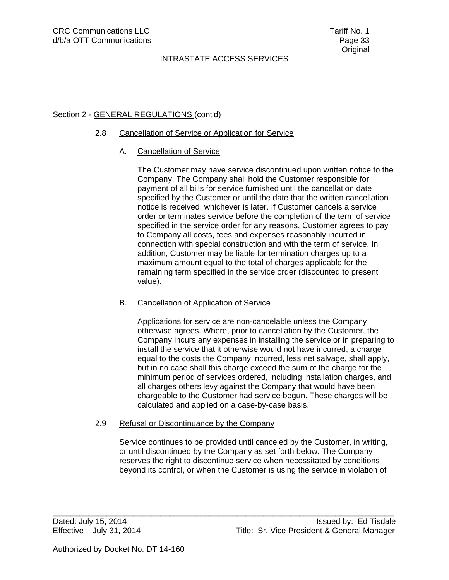## Section 2 - GENERAL REGULATIONS (cont'd)

#### 2.8 Cancellation of Service or Application for Service

### A. Cancellation of Service

The Customer may have service discontinued upon written notice to the Company. The Company shall hold the Customer responsible for payment of all bills for service furnished until the cancellation date specified by the Customer or until the date that the written cancellation notice is received, whichever is later. If Customer cancels a service order or terminates service before the completion of the term of service specified in the service order for any reasons, Customer agrees to pay to Company all costs, fees and expenses reasonably incurred in connection with special construction and with the term of service. In addition, Customer may be liable for termination charges up to a maximum amount equal to the total of charges applicable for the remaining term specified in the service order (discounted to present value).

#### B. Cancellation of Application of Service

Applications for service are non-cancelable unless the Company otherwise agrees. Where, prior to cancellation by the Customer, the Company incurs any expenses in installing the service or in preparing to install the service that it otherwise would not have incurred, a charge equal to the costs the Company incurred, less net salvage, shall apply, but in no case shall this charge exceed the sum of the charge for the minimum period of services ordered, including installation charges, and all charges others levy against the Company that would have been chargeable to the Customer had service begun. These charges will be calculated and applied on a case-by-case basis.

#### 2.9 Refusal or Discontinuance by the Company

Service continues to be provided until canceled by the Customer, in writing, or until discontinued by the Company as set forth below. The Company reserves the right to discontinue service when necessitated by conditions beyond its control, or when the Customer is using the service in violation of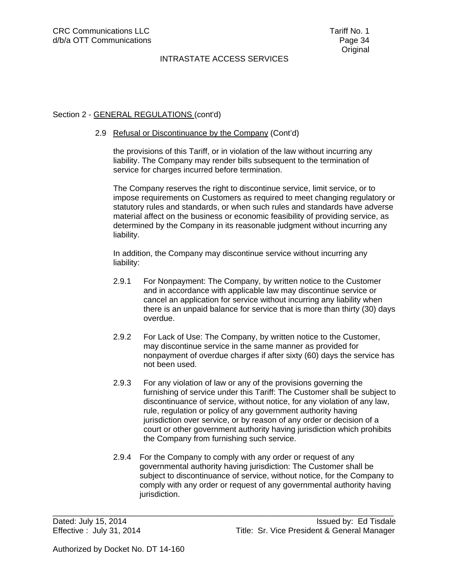## Section 2 - GENERAL REGULATIONS (cont'd)

#### 2.9 Refusal or Discontinuance by the Company (Cont'd)

the provisions of this Tariff, or in violation of the law without incurring any liability. The Company may render bills subsequent to the termination of service for charges incurred before termination.

The Company reserves the right to discontinue service, limit service, or to impose requirements on Customers as required to meet changing regulatory or statutory rules and standards, or when such rules and standards have adverse material affect on the business or economic feasibility of providing service, as determined by the Company in its reasonable judgment without incurring any liability.

In addition, the Company may discontinue service without incurring any liability:

- 2.9.1 For Nonpayment: The Company, by written notice to the Customer and in accordance with applicable law may discontinue service or cancel an application for service without incurring any liability when there is an unpaid balance for service that is more than thirty (30) days overdue.
- 2.9.2 For Lack of Use: The Company, by written notice to the Customer, may discontinue service in the same manner as provided for nonpayment of overdue charges if after sixty (60) days the service has not been used.
- 2.9.3 For any violation of law or any of the provisions governing the furnishing of service under this Tariff: The Customer shall be subject to discontinuance of service, without notice, for any violation of any law, rule, regulation or policy of any government authority having jurisdiction over service, or by reason of any order or decision of a court or other government authority having jurisdiction which prohibits the Company from furnishing such service.
- 2.9.4 For the Company to comply with any order or request of any governmental authority having jurisdiction: The Customer shall be subject to discontinuance of service, without notice, for the Company to comply with any order or request of any governmental authority having jurisdiction.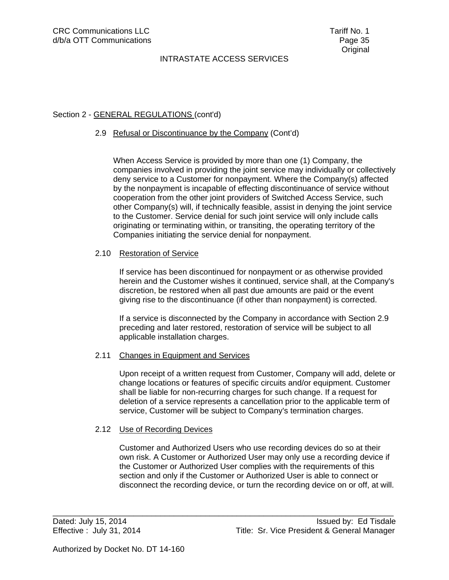## Section 2 - GENERAL REGULATIONS (cont'd)

#### 2.9 Refusal or Discontinuance by the Company (Cont'd)

When Access Service is provided by more than one (1) Company, the companies involved in providing the joint service may individually or collectively deny service to a Customer for nonpayment. Where the Company(s) affected by the nonpayment is incapable of effecting discontinuance of service without cooperation from the other joint providers of Switched Access Service, such other Company(s) will, if technically feasible, assist in denying the joint service to the Customer. Service denial for such joint service will only include calls originating or terminating within, or transiting, the operating territory of the Companies initiating the service denial for nonpayment.

#### 2.10 Restoration of Service

 If service has been discontinued for nonpayment or as otherwise provided herein and the Customer wishes it continued, service shall, at the Company's discretion, be restored when all past due amounts are paid or the event giving rise to the discontinuance (if other than nonpayment) is corrected.

 If a service is disconnected by the Company in accordance with Section 2.9 preceding and later restored, restoration of service will be subject to all applicable installation charges.

### 2.11 Changes in Equipment and Services

 Upon receipt of a written request from Customer, Company will add, delete or change locations or features of specific circuits and/or equipment. Customer shall be liable for non-recurring charges for such change. If a request for deletion of a service represents a cancellation prior to the applicable term of service, Customer will be subject to Company's termination charges.

#### 2.12 Use of Recording Devices

 Customer and Authorized Users who use recording devices do so at their own risk. A Customer or Authorized User may only use a recording device if the Customer or Authorized User complies with the requirements of this section and only if the Customer or Authorized User is able to connect or disconnect the recording device, or turn the recording device on or off, at will.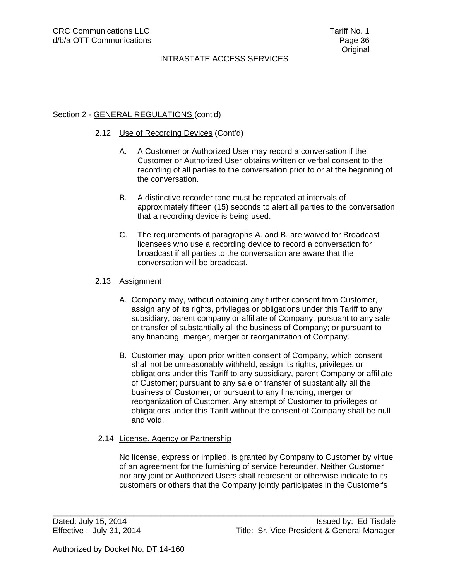### Section 2 - GENERAL REGULATIONS (cont'd)

#### 2.12 Use of Recording Devices (Cont'd)

- A. A Customer or Authorized User may record a conversation if the Customer or Authorized User obtains written or verbal consent to the recording of all parties to the conversation prior to or at the beginning of the conversation.
- B. A distinctive recorder tone must be repeated at intervals of approximately fifteen (15) seconds to alert all parties to the conversation that a recording device is being used.
- C. The requirements of paragraphs A. and B. are waived for Broadcast licensees who use a recording device to record a conversation for broadcast if all parties to the conversation are aware that the conversation will be broadcast.

### 2.13 Assignment

- A. Company may, without obtaining any further consent from Customer, assign any of its rights, privileges or obligations under this Tariff to any subsidiary, parent company or affiliate of Company; pursuant to any sale or transfer of substantially all the business of Company; or pursuant to any financing, merger, merger or reorganization of Company.
- B. Customer may, upon prior written consent of Company, which consent shall not be unreasonably withheld, assign its rights, privileges or obligations under this Tariff to any subsidiary, parent Company or affiliate of Customer; pursuant to any sale or transfer of substantially all the business of Customer; or pursuant to any financing, merger or reorganization of Customer. Any attempt of Customer to privileges or obligations under this Tariff without the consent of Company shall be null and void.

#### 2.14 License. Agency or Partnership

 No license, express or implied, is granted by Company to Customer by virtue of an agreement for the furnishing of service hereunder. Neither Customer nor any joint or Authorized Users shall represent or otherwise indicate to its customers or others that the Company jointly participates in the Customer's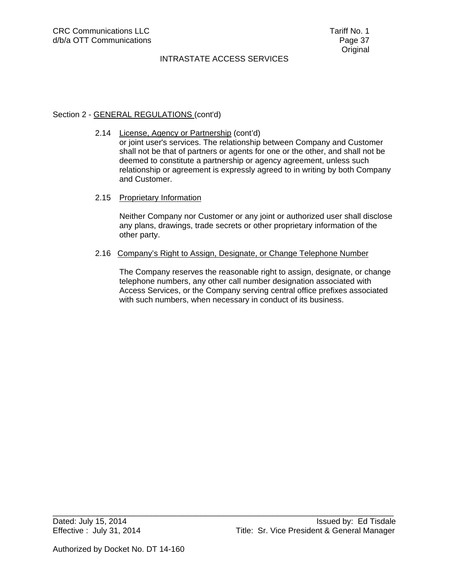### Section 2 - GENERAL REGULATIONS (cont'd)

2.14 License, Agency or Partnership (cont'd) or joint user's services. The relationship between Company and Customer shall not be that of partners or agents for one or the other, and shall not be deemed to constitute a partnership or agency agreement, unless such relationship or agreement is expressly agreed to in writing by both Company and Customer.

### 2.15 Proprietary Information

 Neither Company nor Customer or any joint or authorized user shall disclose any plans, drawings, trade secrets or other proprietary information of the other party.

2.16 Company's Right to Assign, Designate, or Change Telephone Number

\_\_\_\_\_\_\_\_\_\_\_\_\_\_\_\_\_\_\_\_\_\_\_\_\_\_\_\_\_\_\_\_\_\_\_\_\_\_\_\_\_\_\_\_\_\_\_\_\_\_\_\_\_\_\_\_\_\_\_\_\_\_\_\_\_\_\_\_\_\_\_\_\_\_\_\_

 The Company reserves the reasonable right to assign, designate, or change telephone numbers, any other call number designation associated with Access Services, or the Company serving central office prefixes associated with such numbers, when necessary in conduct of its business.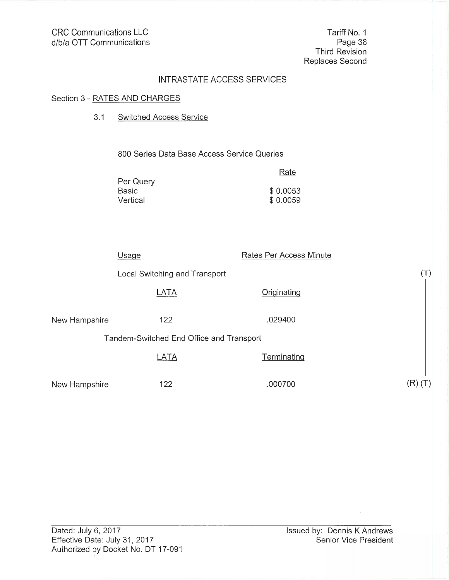Tariff No. 1 Page 38 Third Revision Replaces Second

# INTRASTATE ACCESS SERVICES

# Section 3 - RATES AND CHARGES

#### $3.1$ **Switched Access Service**

800 Series Data Base Access Service Queries

| Rate     |
|----------|
|          |
| \$0.0053 |
| \$0.0059 |
|          |

| Usage         |                                          | Rates Per Access Minute |                |
|---------------|------------------------------------------|-------------------------|----------------|
|               | Local Switching and Transport            |                         | $(\mathsf{T})$ |
|               | LATA                                     | Originating             |                |
| New Hampshire | 122                                      | .029400                 |                |
|               | Tandem-Switched End Office and Transport |                         |                |
|               | LATA                                     | Terminating             |                |
| New Hampshire | 122                                      | .000700                 | R)             |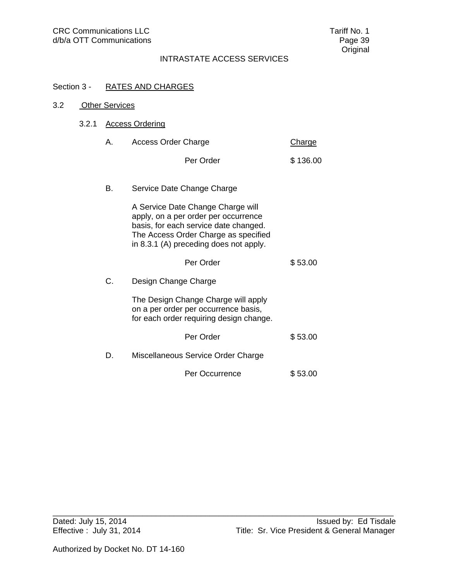# Section 3 - RATES AND CHARGES

| 3.2 |       | <b>Other Services</b>  |                                                                                                                                                                                                      |               |
|-----|-------|------------------------|------------------------------------------------------------------------------------------------------------------------------------------------------------------------------------------------------|---------------|
|     | 3.2.1 | <b>Access Ordering</b> |                                                                                                                                                                                                      |               |
|     |       | А.                     | <b>Access Order Charge</b>                                                                                                                                                                           | <b>Charge</b> |
|     |       |                        | Per Order                                                                                                                                                                                            | \$136.00      |
|     |       | В.                     | Service Date Change Charge                                                                                                                                                                           |               |
|     |       |                        | A Service Date Change Charge will<br>apply, on a per order per occurrence<br>basis, for each service date changed.<br>The Access Order Charge as specified<br>in 8.3.1 (A) preceding does not apply. |               |
|     |       |                        | Per Order                                                                                                                                                                                            | \$53.00       |
|     |       | C.                     | Design Change Charge                                                                                                                                                                                 |               |
|     |       |                        | The Design Change Charge will apply<br>on a per order per occurrence basis,<br>for each order requiring design change.                                                                               |               |
|     |       |                        | Per Order                                                                                                                                                                                            | \$53.00       |
|     |       | D.                     | Miscellaneous Service Order Charge                                                                                                                                                                   |               |
|     |       |                        | Per Occurrence                                                                                                                                                                                       | \$53.00       |
|     |       |                        |                                                                                                                                                                                                      |               |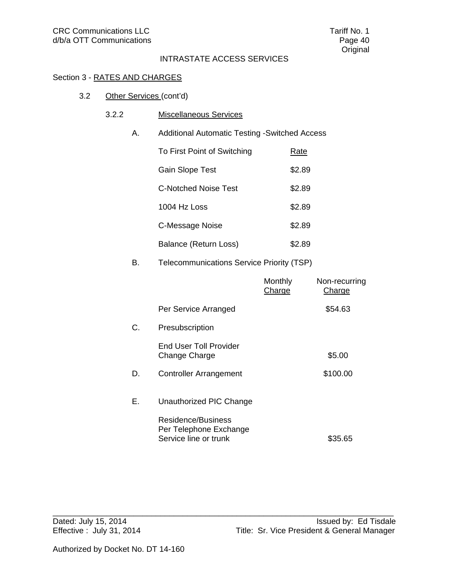# Section 3 - RATES AND CHARGES

- 3.2 Other Services (cont'd)
	- 3.2.2 Miscellaneous Services
		- A. Additional Automatic Testing -Switched Access

| To First Point of Switching | Rate   |
|-----------------------------|--------|
| Gain Slope Test             | \$2.89 |
| <b>C-Notched Noise Test</b> | \$2.89 |
| 1004 Hz Loss                | \$2.89 |
| C-Message Noise             | \$2.89 |
| Balance (Return Loss)       | \$2.89 |

# B. Telecommunications Service Priority (TSP)

|    |                                                                       | Monthly<br>Charge | Non-recurring<br>Charge |
|----|-----------------------------------------------------------------------|-------------------|-------------------------|
|    | Per Service Arranged                                                  |                   | \$54.63                 |
| C. | Presubscription                                                       |                   |                         |
|    | <b>End User Toll Provider</b><br>Change Charge                        |                   | \$5.00                  |
| D. | <b>Controller Arrangement</b>                                         |                   | \$100.00                |
| Е. | Unauthorized PIC Change                                               |                   |                         |
|    | Residence/Business<br>Per Telephone Exchange<br>Service line or trunk |                   | \$35.65                 |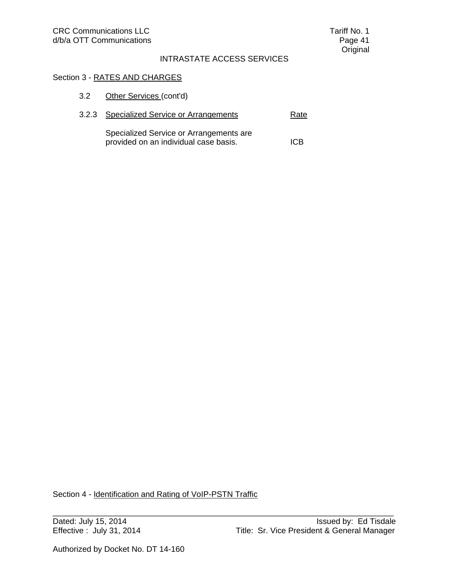# Section 3 - RATES AND CHARGES

3.2.3 Specialized Service or Arrangements Rate

| Specialized Service or Arrangements are |     |
|-----------------------------------------|-----|
| provided on an individual case basis.   | ICB |

Section 4 - Identification and Rating of VoIP-PSTN Traffic

\_\_\_\_\_\_\_\_\_\_\_\_\_\_\_\_\_\_\_\_\_\_\_\_\_\_\_\_\_\_\_\_\_\_\_\_\_\_\_\_\_\_\_\_\_\_\_\_\_\_\_\_\_\_\_\_\_\_\_\_\_\_\_\_\_\_\_\_\_\_\_\_\_\_\_\_

Authorized by Docket No. DT 14-160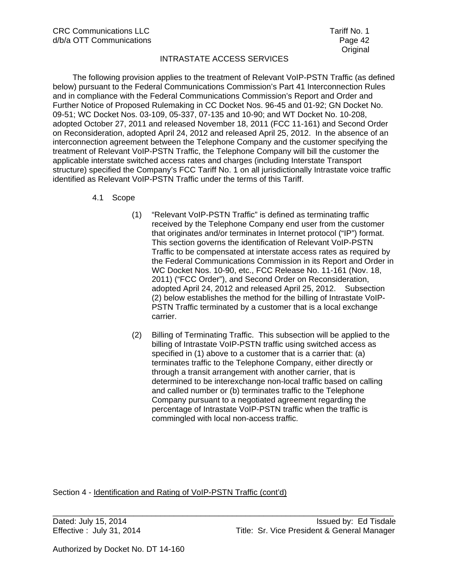The following provision applies to the treatment of Relevant VoIP-PSTN Traffic (as defined below) pursuant to the Federal Communications Commission's Part 41 Interconnection Rules and in compliance with the Federal Communications Commission's Report and Order and Further Notice of Proposed Rulemaking in CC Docket Nos. 96-45 and 01-92; GN Docket No. 09-51; WC Docket Nos. 03-109, 05-337, 07-135 and 10-90; and WT Docket No. 10-208, adopted October 27, 2011 and released November 18, 2011 (FCC 11-161) and Second Order on Reconsideration, adopted April 24, 2012 and released April 25, 2012. In the absence of an interconnection agreement between the Telephone Company and the customer specifying the treatment of Relevant VoIP-PSTN Traffic, the Telephone Company will bill the customer the applicable interstate switched access rates and charges (including Interstate Transport structure) specified the Company's FCC Tariff No. 1 on all jurisdictionally Intrastate voice traffic identified as Relevant VoIP-PSTN Traffic under the terms of this Tariff.

- 4.1 Scope
	- (1) "Relevant VoIP-PSTN Traffic" is defined as terminating traffic received by the Telephone Company end user from the customer that originates and/or terminates in Internet protocol ("IP") format. This section governs the identification of Relevant VoIP-PSTN Traffic to be compensated at interstate access rates as required by the Federal Communications Commission in its Report and Order in WC Docket Nos. 10-90, etc., FCC Release No. 11-161 (Nov. 18, 2011) ("FCC Order"), and Second Order on Reconsideration, adopted April 24, 2012 and released April 25, 2012. Subsection (2) below establishes the method for the billing of Intrastate VoIP-PSTN Traffic terminated by a customer that is a local exchange carrier.
	- (2) Billing of Terminating Traffic. This subsection will be applied to the billing of Intrastate VoIP-PSTN traffic using switched access as specified in (1) above to a customer that is a carrier that: (a) terminates traffic to the Telephone Company, either directly or through a transit arrangement with another carrier, that is determined to be interexchange non-local traffic based on calling and called number or (b) terminates traffic to the Telephone Company pursuant to a negotiated agreement regarding the percentage of Intrastate VoIP-PSTN traffic when the traffic is commingled with local non-access traffic.

Section 4 - Identification and Rating of VoIP-PSTN Traffic (cont'd)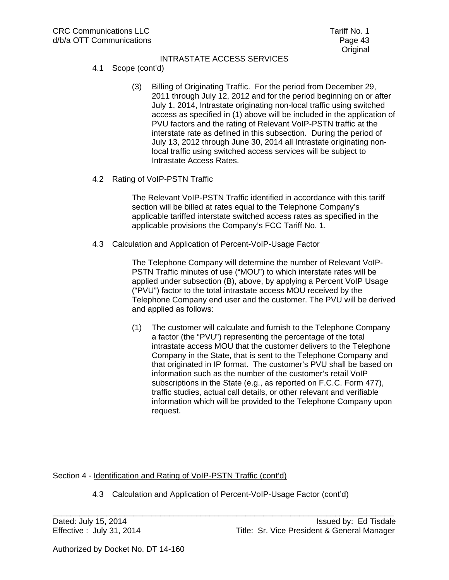- 4.1 Scope (cont'd)
	- (3) Billing of Originating Traffic. For the period from December 29, 2011 through July 12, 2012 and for the period beginning on or after July 1, 2014, Intrastate originating non-local traffic using switched access as specified in (1) above will be included in the application of PVU factors and the rating of Relevant VoIP-PSTN traffic at the interstate rate as defined in this subsection. During the period of July 13, 2012 through June 30, 2014 all Intrastate originating nonlocal traffic using switched access services will be subject to Intrastate Access Rates.
- 4.2 Rating of VoIP-PSTN Traffic

The Relevant VoIP-PSTN Traffic identified in accordance with this tariff section will be billed at rates equal to the Telephone Company's applicable tariffed interstate switched access rates as specified in the applicable provisions the Company's FCC Tariff No. 1.

4.3 Calculation and Application of Percent-VoIP-Usage Factor

The Telephone Company will determine the number of Relevant VoIP-PSTN Traffic minutes of use ("MOU") to which interstate rates will be applied under subsection (B), above, by applying a Percent VoIP Usage ("PVU") factor to the total intrastate access MOU received by the Telephone Company end user and the customer. The PVU will be derived and applied as follows:

(1) The customer will calculate and furnish to the Telephone Company a factor (the "PVU") representing the percentage of the total intrastate access MOU that the customer delivers to the Telephone Company in the State, that is sent to the Telephone Company and that originated in IP format. The customer's PVU shall be based on information such as the number of the customer's retail VoIP subscriptions in the State (e.g., as reported on F.C.C. Form 477), traffic studies, actual call details, or other relevant and verifiable information which will be provided to the Telephone Company upon request.

Section 4 - Identification and Rating of VoIP-PSTN Traffic (cont'd)

4.3 Calculation and Application of Percent-VoIP-Usage Factor (cont'd)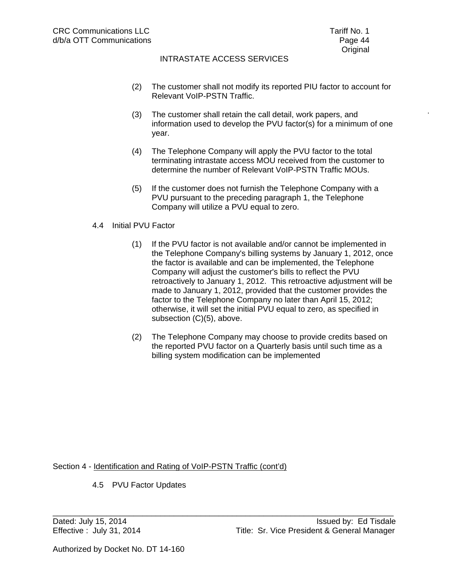- (2) The customer shall not modify its reported PIU factor to account for Relevant VoIP-PSTN Traffic.
- (3) The customer shall retain the call detail, work papers, and information used to develop the PVU factor(s) for a minimum of one year.
- (4) The Telephone Company will apply the PVU factor to the total terminating intrastate access MOU received from the customer to determine the number of Relevant VoIP-PSTN Traffic MOUs.
- (5) If the customer does not furnish the Telephone Company with a PVU pursuant to the preceding paragraph 1, the Telephone Company will utilize a PVU equal to zero.

### 4.4 Initial PVU Factor

- (1) If the PVU factor is not available and/or cannot be implemented in the Telephone Company's billing systems by January 1, 2012, once the factor is available and can be implemented, the Telephone Company will adjust the customer's bills to reflect the PVU retroactively to January 1, 2012. This retroactive adjustment will be made to January 1, 2012, provided that the customer provides the factor to the Telephone Company no later than April 15, 2012; otherwise, it will set the initial PVU equal to zero, as specified in subsection (C)(5), above.
- (2) The Telephone Company may choose to provide credits based on the reported PVU factor on a Quarterly basis until such time as a billing system modification can be implemented

Section 4 - Identification and Rating of VoIP-PSTN Traffic (cont'd)

\_\_\_\_\_\_\_\_\_\_\_\_\_\_\_\_\_\_\_\_\_\_\_\_\_\_\_\_\_\_\_\_\_\_\_\_\_\_\_\_\_\_\_\_\_\_\_\_\_\_\_\_\_\_\_\_\_\_\_\_\_\_\_\_\_\_\_\_\_\_\_\_\_\_\_\_

4.5 PVU Factor Updates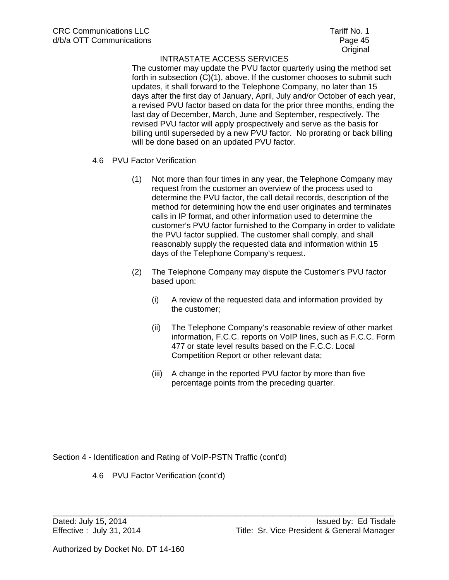The customer may update the PVU factor quarterly using the method set forth in subsection (C)(1), above. If the customer chooses to submit such updates, it shall forward to the Telephone Company, no later than 15 days after the first day of January, April, July and/or October of each year, a revised PVU factor based on data for the prior three months, ending the last day of December, March, June and September, respectively. The revised PVU factor will apply prospectively and serve as the basis for billing until superseded by a new PVU factor. No prorating or back billing will be done based on an updated PVU factor.

- 4.6 PVU Factor Verification
	- (1) Not more than four times in any year, the Telephone Company may request from the customer an overview of the process used to determine the PVU factor, the call detail records, description of the method for determining how the end user originates and terminates calls in IP format, and other information used to determine the customer's PVU factor furnished to the Company in order to validate the PVU factor supplied. The customer shall comply, and shall reasonably supply the requested data and information within 15 days of the Telephone Company's request.
	- (2) The Telephone Company may dispute the Customer's PVU factor based upon:
		- (i) A review of the requested data and information provided by the customer;
		- (ii) The Telephone Company's reasonable review of other market information, F.C.C. reports on VoIP lines, such as F.C.C. Form 477 or state level results based on the F.C.C. Local Competition Report or other relevant data;
		- (iii) A change in the reported PVU factor by more than five percentage points from the preceding quarter.

\_\_\_\_\_\_\_\_\_\_\_\_\_\_\_\_\_\_\_\_\_\_\_\_\_\_\_\_\_\_\_\_\_\_\_\_\_\_\_\_\_\_\_\_\_\_\_\_\_\_\_\_\_\_\_\_\_\_\_\_\_\_\_\_\_\_\_\_\_\_\_\_\_\_\_\_

Section 4 - Identification and Rating of VoIP-PSTN Traffic (cont'd)

4.6 PVU Factor Verification (cont'd)